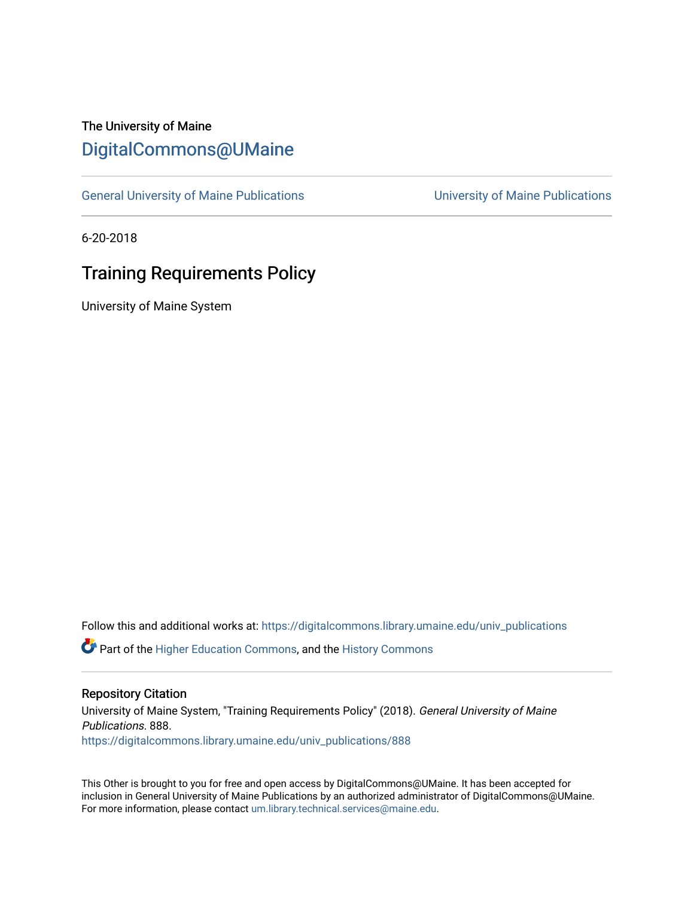# The University of Maine [DigitalCommons@UMaine](https://digitalcommons.library.umaine.edu/)

[General University of Maine Publications](https://digitalcommons.library.umaine.edu/univ_publications) [University of Maine Publications](https://digitalcommons.library.umaine.edu/umaine_publications) 

6-20-2018

# Training Requirements Policy

University of Maine System

Follow this and additional works at: [https://digitalcommons.library.umaine.edu/univ\\_publications](https://digitalcommons.library.umaine.edu/univ_publications?utm_source=digitalcommons.library.umaine.edu%2Funiv_publications%2F888&utm_medium=PDF&utm_campaign=PDFCoverPages) 

**C** Part of the [Higher Education Commons,](http://network.bepress.com/hgg/discipline/1245?utm_source=digitalcommons.library.umaine.edu%2Funiv_publications%2F888&utm_medium=PDF&utm_campaign=PDFCoverPages) and the [History Commons](http://network.bepress.com/hgg/discipline/489?utm_source=digitalcommons.library.umaine.edu%2Funiv_publications%2F888&utm_medium=PDF&utm_campaign=PDFCoverPages)

#### Repository Citation

University of Maine System, "Training Requirements Policy" (2018). General University of Maine Publications. 888. [https://digitalcommons.library.umaine.edu/univ\\_publications/888](https://digitalcommons.library.umaine.edu/univ_publications/888?utm_source=digitalcommons.library.umaine.edu%2Funiv_publications%2F888&utm_medium=PDF&utm_campaign=PDFCoverPages) 

This Other is brought to you for free and open access by DigitalCommons@UMaine. It has been accepted for inclusion in General University of Maine Publications by an authorized administrator of DigitalCommons@UMaine. For more information, please contact [um.library.technical.services@maine.edu](mailto:um.library.technical.services@maine.edu).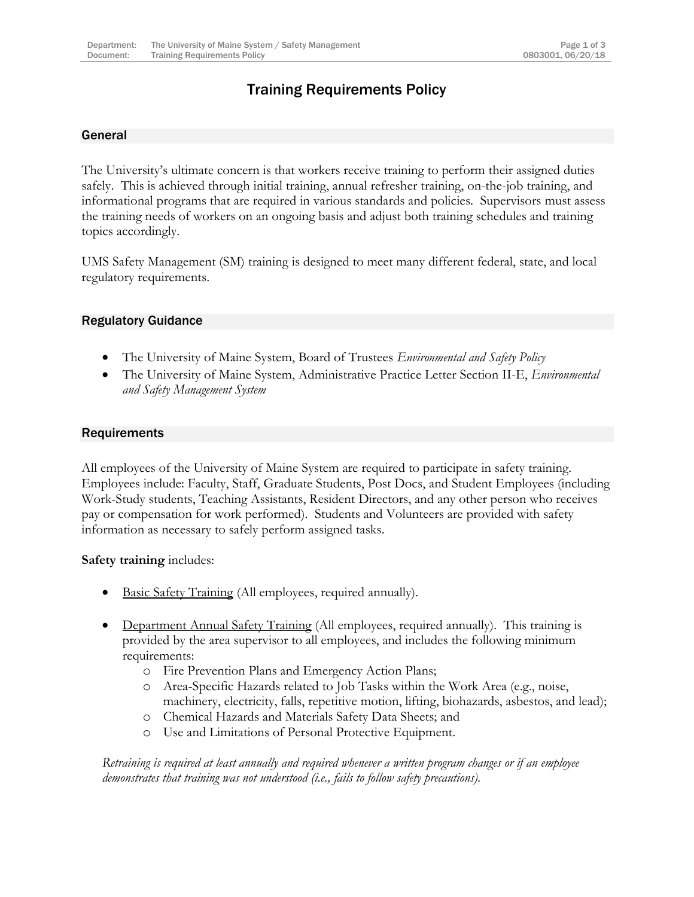# Training Requirements Policy

### General

The University's ultimate concern is that workers receive training to perform their assigned duties safely. This is achieved through initial training, annual refresher training, on-the-job training, and informational programs that are required in various standards and policies. Supervisors must assess the training needs of workers on an ongoing basis and adjust both training schedules and training topics accordingly.

UMS Safety Management (SM) training is designed to meet many different federal, state, and local regulatory requirements.

#### Regulatory Guidance

- The University of Maine System, Board of Trustees *Environmental and Safety Policy*
- The University of Maine System, Administrative Practice Letter Section II-E, *Environmental and Safety Management System*

#### **Requirements**

All employees of the University of Maine System are required to participate in safety training. Employees include: Faculty, Staff, Graduate Students, Post Docs, and Student Employees (including Work-Study students, Teaching Assistants, Resident Directors, and any other person who receives pay or compensation for work performed). Students and Volunteers are provided with safety information as necessary to safely perform assigned tasks.

#### **Safety training** includes:

- Basic Safety Training (All employees, required annually).
- Department Annual Safety Training (All employees, required annually). This training is provided by the area supervisor to all employees, and includes the following minimum requirements:
	- o Fire Prevention Plans and Emergency Action Plans;
	- o Area-Specific Hazards related to Job Tasks within the Work Area (e.g., noise, machinery, electricity, falls, repetitive motion, lifting, biohazards, asbestos, and lead);
	- o Chemical Hazards and Materials Safety Data Sheets; and
	- o Use and Limitations of Personal Protective Equipment.

*Retraining is required at least annually and required whenever a written program changes or if an employee demonstrates that training was not understood (i.e., fails to follow safety precautions).*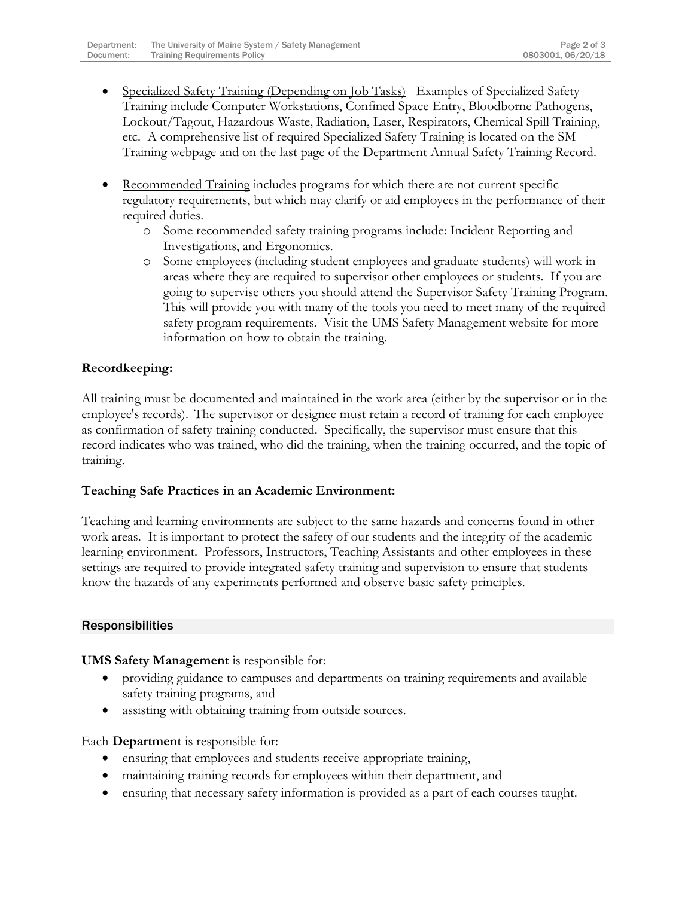- Specialized Safety Training (Depending on Job Tasks) Examples of Specialized Safety Training include Computer Workstations, Confined Space Entry, Bloodborne Pathogens, Lockout/Tagout, Hazardous Waste, Radiation, Laser, Respirators, Chemical Spill Training, etc. A comprehensive list of required Specialized Safety Training is located on the SM Training webpage and on the last page of the Department Annual Safety Training Record.
- Recommended Training includes programs for which there are not current specific regulatory requirements, but which may clarify or aid employees in the performance of their required duties.
	- o Some recommended safety training programs include: Incident Reporting and Investigations, and Ergonomics.
	- o Some employees (including student employees and graduate students) will work in areas where they are required to supervisor other employees or students. If you are going to supervise others you should attend the Supervisor Safety Training Program. This will provide you with many of the tools you need to meet many of the required safety program requirements. Visit the UMS Safety Management website for more information on how to obtain the training.

# **Recordkeeping:**

All training must be documented and maintained in the work area (either by the supervisor or in the employee's records). The supervisor or designee must retain a record of training for each employee as confirmation of safety training conducted. Specifically, the supervisor must ensure that this record indicates who was trained, who did the training, when the training occurred, and the topic of training.

## **Teaching Safe Practices in an Academic Environment:**

Teaching and learning environments are subject to the same hazards and concerns found in other work areas. It is important to protect the safety of our students and the integrity of the academic learning environment. Professors, Instructors, Teaching Assistants and other employees in these settings are required to provide integrated safety training and supervision to ensure that students know the hazards of any experiments performed and observe basic safety principles.

## **Responsibilities**

**UMS Safety Management** is responsible for:

- providing guidance to campuses and departments on training requirements and available safety training programs, and
- assisting with obtaining training from outside sources.

Each **Department** is responsible for:

- ensuring that employees and students receive appropriate training,
- maintaining training records for employees within their department, and
- ensuring that necessary safety information is provided as a part of each courses taught.